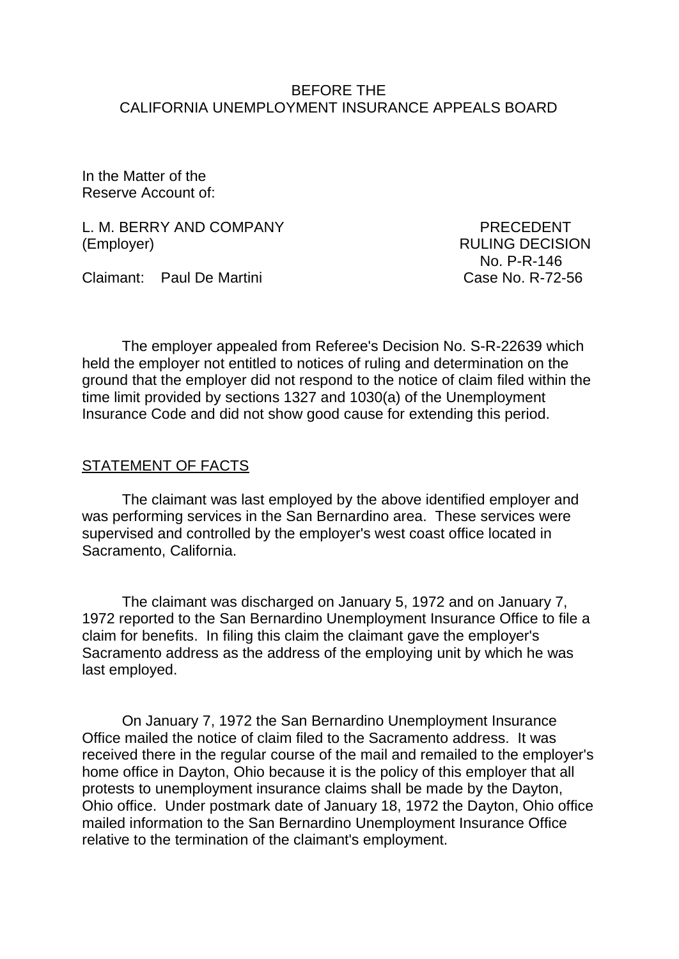### BEFORE THE CALIFORNIA UNEMPLOYMENT INSURANCE APPEALS BOARD

In the Matter of the Reserve Account of:

L. M. BERRY AND COMPANY PRECEDENT (Employer) RULING DECISION

Claimant: Paul De Martini Case No. R-72-56

No. P-R-146

The employer appealed from Referee's Decision No. S-R-22639 which held the employer not entitled to notices of ruling and determination on the ground that the employer did not respond to the notice of claim filed within the time limit provided by sections 1327 and 1030(a) of the Unemployment Insurance Code and did not show good cause for extending this period.

### STATEMENT OF FACTS

The claimant was last employed by the above identified employer and was performing services in the San Bernardino area. These services were supervised and controlled by the employer's west coast office located in Sacramento, California.

The claimant was discharged on January 5, 1972 and on January 7, 1972 reported to the San Bernardino Unemployment Insurance Office to file a claim for benefits. In filing this claim the claimant gave the employer's Sacramento address as the address of the employing unit by which he was last employed.

On January 7, 1972 the San Bernardino Unemployment Insurance Office mailed the notice of claim filed to the Sacramento address. It was received there in the regular course of the mail and remailed to the employer's home office in Dayton, Ohio because it is the policy of this employer that all protests to unemployment insurance claims shall be made by the Dayton, Ohio office. Under postmark date of January 18, 1972 the Dayton, Ohio office mailed information to the San Bernardino Unemployment Insurance Office relative to the termination of the claimant's employment.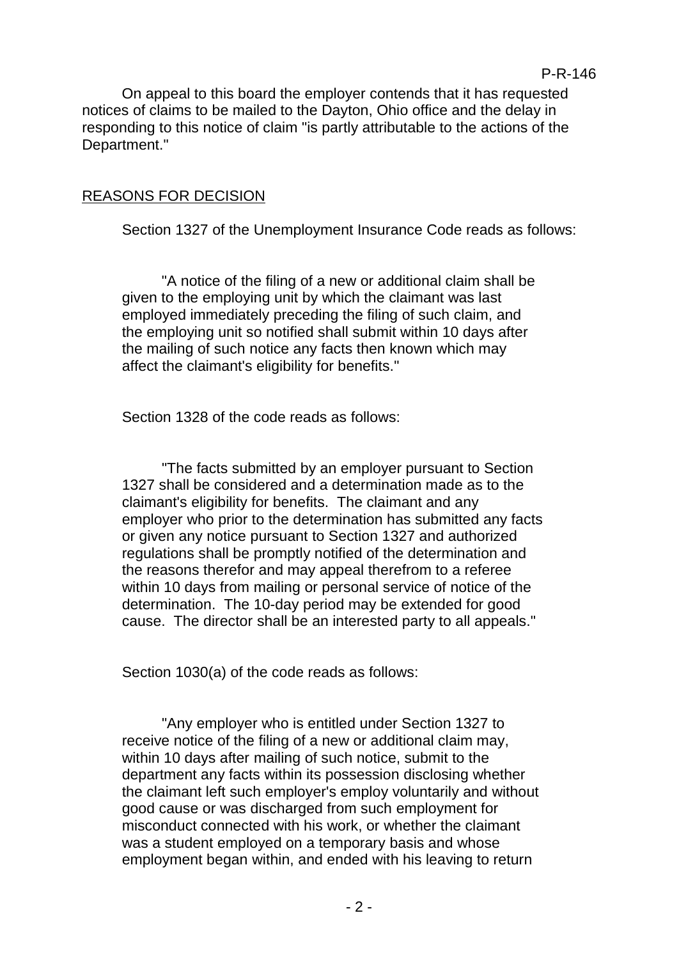On appeal to this board the employer contends that it has requested notices of claims to be mailed to the Dayton, Ohio office and the delay in responding to this notice of claim "is partly attributable to the actions of the Department."

### REASONS FOR DECISION

Section 1327 of the Unemployment Insurance Code reads as follows:

"A notice of the filing of a new or additional claim shall be given to the employing unit by which the claimant was last employed immediately preceding the filing of such claim, and the employing unit so notified shall submit within 10 days after the mailing of such notice any facts then known which may affect the claimant's eligibility for benefits."

Section 1328 of the code reads as follows:

"The facts submitted by an employer pursuant to Section 1327 shall be considered and a determination made as to the claimant's eligibility for benefits. The claimant and any employer who prior to the determination has submitted any facts or given any notice pursuant to Section 1327 and authorized regulations shall be promptly notified of the determination and the reasons therefor and may appeal therefrom to a referee within 10 days from mailing or personal service of notice of the determination. The 10-day period may be extended for good cause. The director shall be an interested party to all appeals."

Section 1030(a) of the code reads as follows:

"Any employer who is entitled under Section 1327 to receive notice of the filing of a new or additional claim may, within 10 days after mailing of such notice, submit to the department any facts within its possession disclosing whether the claimant left such employer's employ voluntarily and without good cause or was discharged from such employment for misconduct connected with his work, or whether the claimant was a student employed on a temporary basis and whose employment began within, and ended with his leaving to return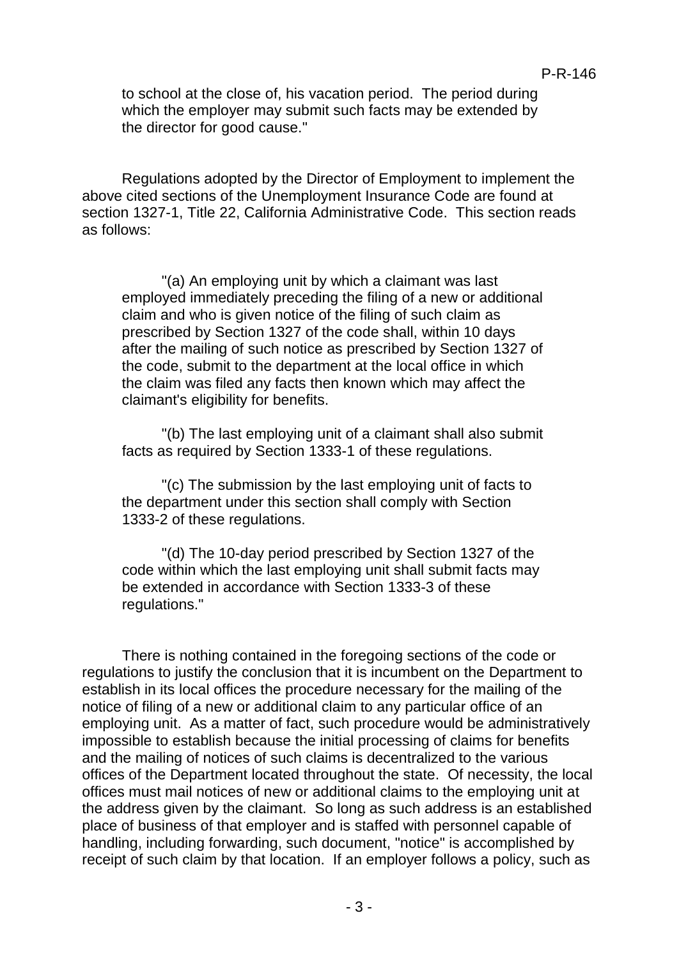to school at the close of, his vacation period. The period during which the employer may submit such facts may be extended by the director for good cause."

Regulations adopted by the Director of Employment to implement the above cited sections of the Unemployment Insurance Code are found at section 1327-1, Title 22, California Administrative Code. This section reads as follows:

"(a) An employing unit by which a claimant was last employed immediately preceding the filing of a new or additional claim and who is given notice of the filing of such claim as prescribed by Section 1327 of the code shall, within 10 days after the mailing of such notice as prescribed by Section 1327 of the code, submit to the department at the local office in which the claim was filed any facts then known which may affect the claimant's eligibility for benefits.

"(b) The last employing unit of a claimant shall also submit facts as required by Section 1333-1 of these regulations.

"(c) The submission by the last employing unit of facts to the department under this section shall comply with Section 1333-2 of these regulations.

"(d) The 10-day period prescribed by Section 1327 of the code within which the last employing unit shall submit facts may be extended in accordance with Section 1333-3 of these regulations."

There is nothing contained in the foregoing sections of the code or regulations to justify the conclusion that it is incumbent on the Department to establish in its local offices the procedure necessary for the mailing of the notice of filing of a new or additional claim to any particular office of an employing unit. As a matter of fact, such procedure would be administratively impossible to establish because the initial processing of claims for benefits and the mailing of notices of such claims is decentralized to the various offices of the Department located throughout the state. Of necessity, the local offices must mail notices of new or additional claims to the employing unit at the address given by the claimant. So long as such address is an established place of business of that employer and is staffed with personnel capable of handling, including forwarding, such document, "notice" is accomplished by receipt of such claim by that location. If an employer follows a policy, such as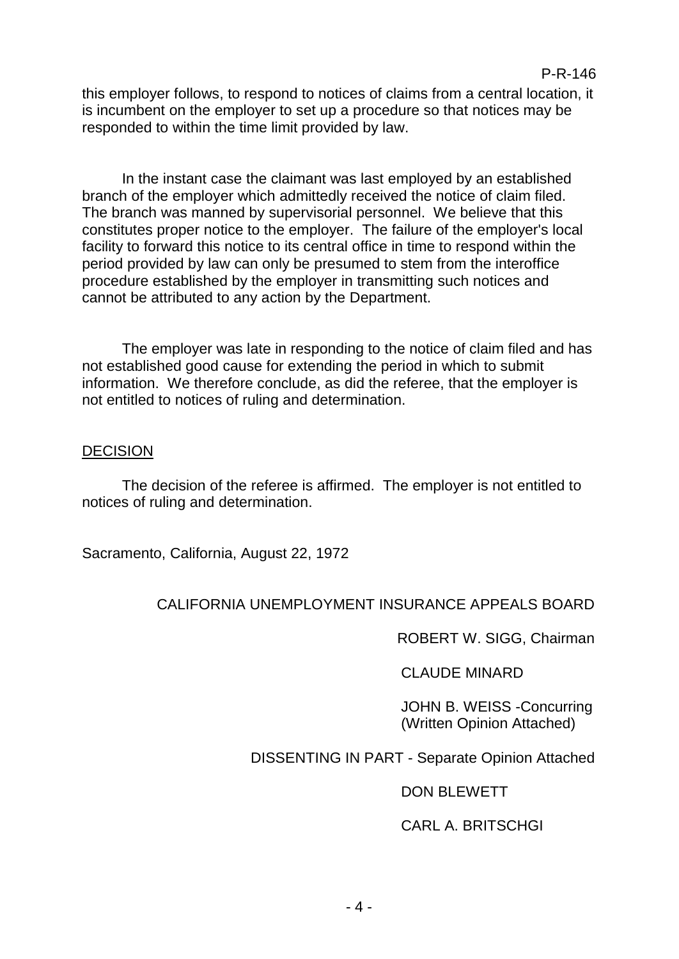this employer follows, to respond to notices of claims from a central location, it is incumbent on the employer to set up a procedure so that notices may be responded to within the time limit provided by law.

In the instant case the claimant was last employed by an established branch of the employer which admittedly received the notice of claim filed. The branch was manned by supervisorial personnel. We believe that this constitutes proper notice to the employer. The failure of the employer's local facility to forward this notice to its central office in time to respond within the period provided by law can only be presumed to stem from the interoffice procedure established by the employer in transmitting such notices and cannot be attributed to any action by the Department.

The employer was late in responding to the notice of claim filed and has not established good cause for extending the period in which to submit information. We therefore conclude, as did the referee, that the employer is not entitled to notices of ruling and determination.

### **DECISION**

The decision of the referee is affirmed. The employer is not entitled to notices of ruling and determination.

Sacramento, California, August 22, 1972

# CALIFORNIA UNEMPLOYMENT INSURANCE APPEALS BOARD

ROBERT W. SIGG, Chairman

CLAUDE MINARD

JOHN B. WEISS -Concurring (Written Opinion Attached)

# DISSENTING IN PART - Separate Opinion Attached

# DON BLEWETT

# CARL A. BRITSCHGI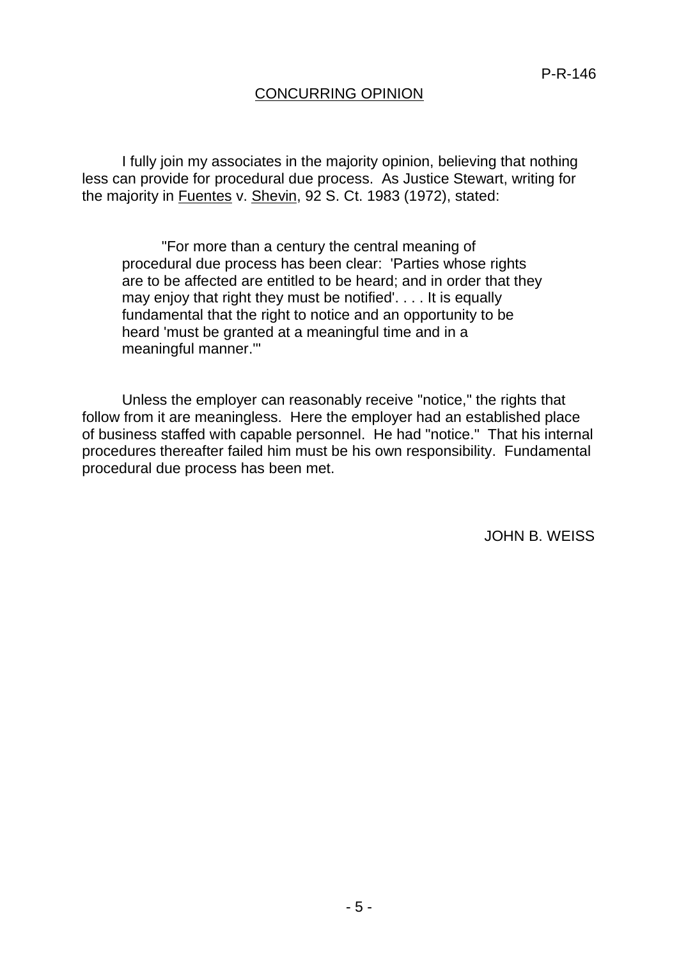## CONCURRING OPINION

I fully join my associates in the majority opinion, believing that nothing less can provide for procedural due process. As Justice Stewart, writing for the majority in Fuentes v. Shevin, 92 S. Ct. 1983 (1972), stated:

"For more than a century the central meaning of procedural due process has been clear: 'Parties whose rights are to be affected are entitled to be heard; and in order that they may enjoy that right they must be notified'. . . . It is equally fundamental that the right to notice and an opportunity to be heard 'must be granted at a meaningful time and in a meaningful manner.'"

Unless the employer can reasonably receive "notice," the rights that follow from it are meaningless. Here the employer had an established place of business staffed with capable personnel. He had "notice." That his internal procedures thereafter failed him must be his own responsibility. Fundamental procedural due process has been met.

JOHN B. WEISS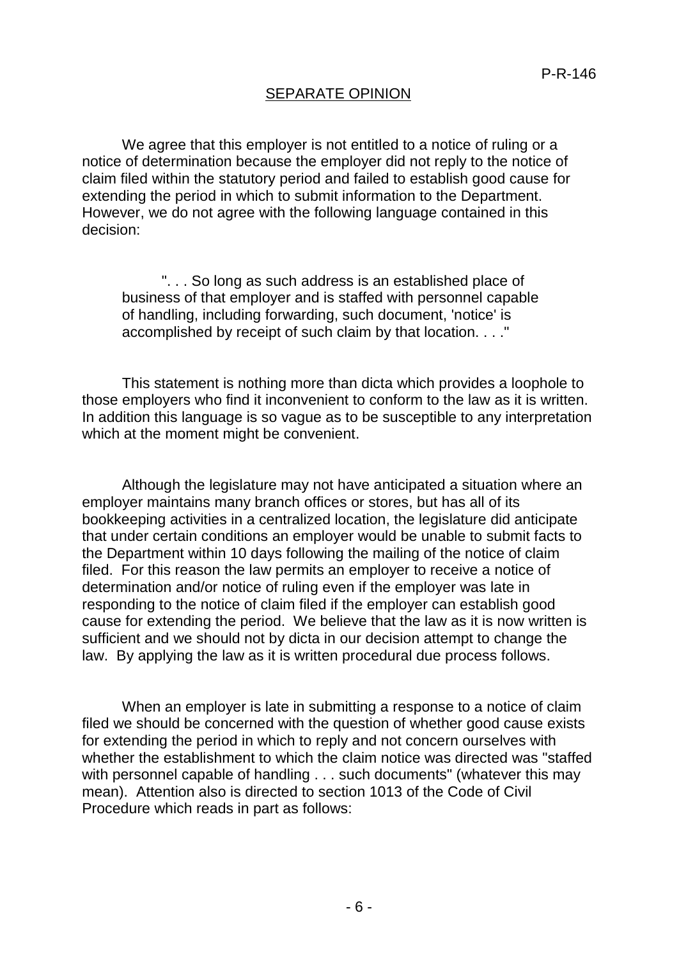## SEPARATE OPINION

We agree that this employer is not entitled to a notice of ruling or a notice of determination because the employer did not reply to the notice of claim filed within the statutory period and failed to establish good cause for extending the period in which to submit information to the Department. However, we do not agree with the following language contained in this decision:

". . . So long as such address is an established place of business of that employer and is staffed with personnel capable of handling, including forwarding, such document, 'notice' is accomplished by receipt of such claim by that location. . . ."

This statement is nothing more than dicta which provides a loophole to those employers who find it inconvenient to conform to the law as it is written. In addition this language is so vague as to be susceptible to any interpretation which at the moment might be convenient.

Although the legislature may not have anticipated a situation where an employer maintains many branch offices or stores, but has all of its bookkeeping activities in a centralized location, the legislature did anticipate that under certain conditions an employer would be unable to submit facts to the Department within 10 days following the mailing of the notice of claim filed. For this reason the law permits an employer to receive a notice of determination and/or notice of ruling even if the employer was late in responding to the notice of claim filed if the employer can establish good cause for extending the period. We believe that the law as it is now written is sufficient and we should not by dicta in our decision attempt to change the law. By applying the law as it is written procedural due process follows.

When an employer is late in submitting a response to a notice of claim filed we should be concerned with the question of whether good cause exists for extending the period in which to reply and not concern ourselves with whether the establishment to which the claim notice was directed was "staffed with personnel capable of handling . . . such documents" (whatever this may mean). Attention also is directed to section 1013 of the Code of Civil Procedure which reads in part as follows: